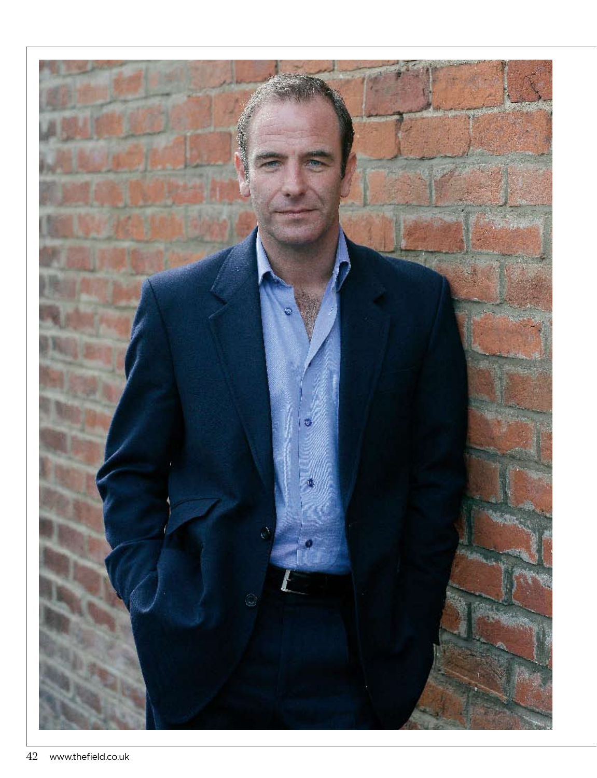